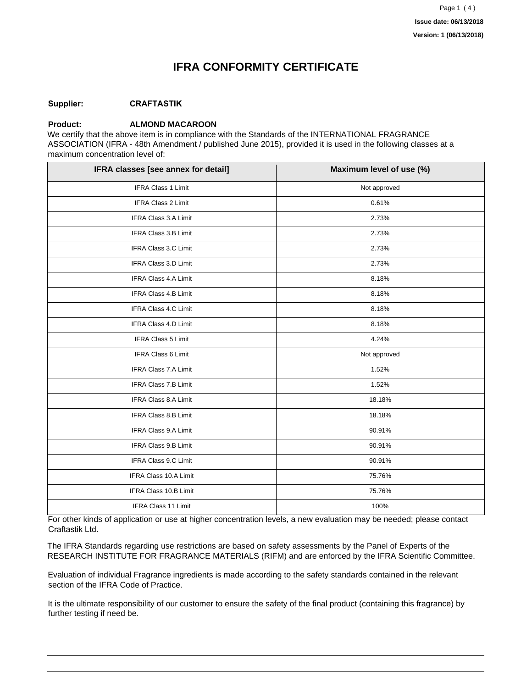### **IFRA CONFORMITY CERTIFICATE**

#### **Supplier: CRAFTASTIK**

#### **Product: ALMOND MACAROON**

We certify that the above item is in compliance with the Standards of the INTERNATIONAL FRAGRANCE ASSOCIATION (IFRA - 48th Amendment / published June 2015), provided it is used in the following classes at a maximum concentration level of:

| IFRA classes [see annex for detail] | Maximum level of use (%) |
|-------------------------------------|--------------------------|
| IFRA Class 1 Limit                  | Not approved             |
| IFRA Class 2 Limit                  | 0.61%                    |
| IFRA Class 3.A Limit                | 2.73%                    |
| IFRA Class 3.B Limit                | 2.73%                    |
| IFRA Class 3.C Limit                | 2.73%                    |
| IFRA Class 3.D Limit                | 2.73%                    |
| IFRA Class 4.A Limit                | 8.18%                    |
| IFRA Class 4.B Limit                | 8.18%                    |
| <b>IFRA Class 4.C Limit</b>         | 8.18%                    |
| IFRA Class 4.D Limit                | 8.18%                    |
| IFRA Class 5 Limit                  | 4.24%                    |
| IFRA Class 6 Limit                  | Not approved             |
| <b>IFRA Class 7.A Limit</b>         | 1.52%                    |
| <b>IFRA Class 7.B Limit</b>         | 1.52%                    |
| IFRA Class 8.A Limit                | 18.18%                   |
| IFRA Class 8.B Limit                | 18.18%                   |
| IFRA Class 9.A Limit                | 90.91%                   |
| IFRA Class 9.B Limit                | 90.91%                   |
| IFRA Class 9.C Limit                | 90.91%                   |
| IFRA Class 10.A Limit               | 75.76%                   |
| <b>IFRA Class 10.B Limit</b>        | 75.76%                   |
| IFRA Class 11 Limit                 | 100%                     |

For other kinds of application or use at higher concentration levels, a new evaluation may be needed; please contact Craftastik Ltd.

The IFRA Standards regarding use restrictions are based on safety assessments by the Panel of Experts of the RESEARCH INSTITUTE FOR FRAGRANCE MATERIALS (RIFM) and are enforced by the IFRA Scientific Committee.

Evaluation of individual Fragrance ingredients is made according to the safety standards contained in the relevant section of the IFRA Code of Practice.

It is the ultimate responsibility of our customer to ensure the safety of the final product (containing this fragrance) by further testing if need be.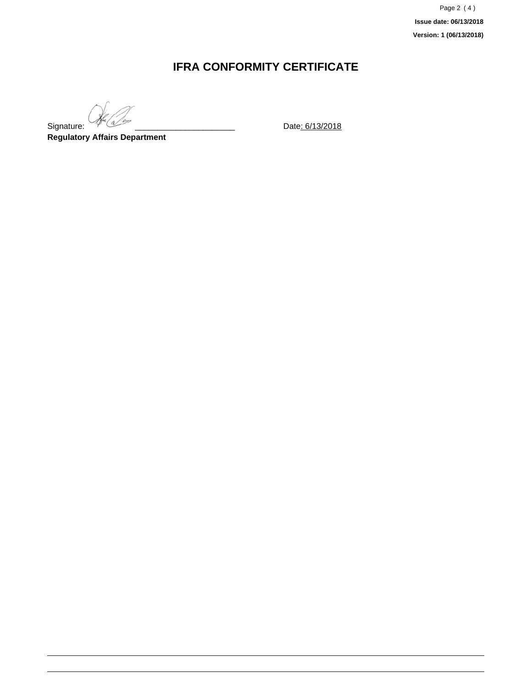Page 2 ( 4 ) **Issue date: 06/13/2018 Version: 1 (06/13/2018)**

### **IFRA CONFORMITY CERTIFICATE**

Signature:  $\sqrt{4\pi}$  (a)  $\sqrt{2\pi}$  Date: 6/13/2018

**Regulatory Affairs Department**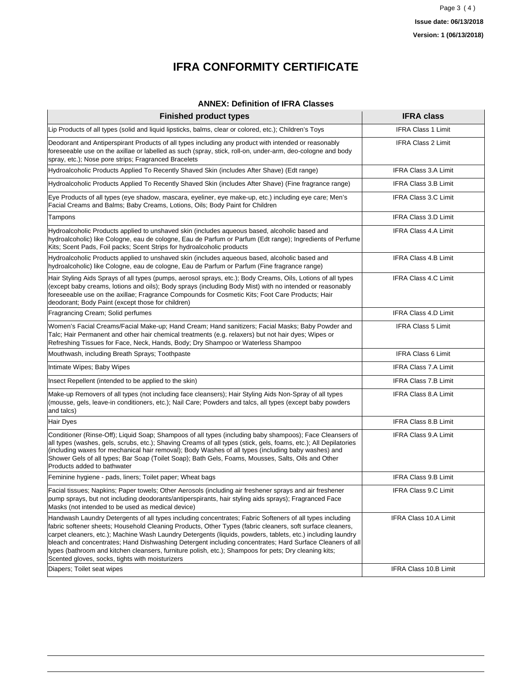# **IFRA CONFORMITY CERTIFICATE**

#### **ANNEX: Definition of IFRA Classes**

| <b>Finished product types</b>                                                                                                                                                                                                                                                                                                                                                                                                                                                                                                                                                                                | <b>IFRA class</b>           |
|--------------------------------------------------------------------------------------------------------------------------------------------------------------------------------------------------------------------------------------------------------------------------------------------------------------------------------------------------------------------------------------------------------------------------------------------------------------------------------------------------------------------------------------------------------------------------------------------------------------|-----------------------------|
| Lip Products of all types (solid and liquid lipsticks, balms, clear or colored, etc.); Children's Toys                                                                                                                                                                                                                                                                                                                                                                                                                                                                                                       | <b>IFRA Class 1 Limit</b>   |
| Deodorant and Antiperspirant Products of all types including any product with intended or reasonably<br>foreseeable use on the axillae or labelled as such (spray, stick, roll-on, under-arm, deo-cologne and body<br>spray, etc.); Nose pore strips; Fragranced Bracelets                                                                                                                                                                                                                                                                                                                                   | <b>IFRA Class 2 Limit</b>   |
| Hydroalcoholic Products Applied To Recently Shaved Skin (includes After Shave) (Edt range)                                                                                                                                                                                                                                                                                                                                                                                                                                                                                                                   | IFRA Class 3.A Limit        |
| Hydroalcoholic Products Applied To Recently Shaved Skin (includes After Shave) (Fine fragrance range)                                                                                                                                                                                                                                                                                                                                                                                                                                                                                                        | IFRA Class 3.B Limit        |
| Eye Products of all types (eye shadow, mascara, eyeliner, eye make-up, etc.) including eye care; Men's<br>Facial Creams and Balms; Baby Creams, Lotions, Oils; Body Paint for Children                                                                                                                                                                                                                                                                                                                                                                                                                       | <b>IFRA Class 3.C Limit</b> |
| Tampons                                                                                                                                                                                                                                                                                                                                                                                                                                                                                                                                                                                                      | IFRA Class 3.D Limit        |
| Hydroalcoholic Products applied to unshaved skin (includes aqueous based, alcoholic based and<br>hydroalcoholic) like Cologne, eau de cologne, Eau de Parfum or Parfum (Edt range); Ingredients of Perfume<br>Kits; Scent Pads, Foil packs; Scent Strips for hydroalcoholic products                                                                                                                                                                                                                                                                                                                         | <b>IFRA Class 4.A Limit</b> |
| Hydroalcoholic Products applied to unshaved skin (includes aqueous based, alcoholic based and<br>hydroalcoholic) like Cologne, eau de cologne, Eau de Parfum or Parfum (Fine fragrance range)                                                                                                                                                                                                                                                                                                                                                                                                                | <b>IFRA Class 4.B Limit</b> |
| Hair Styling Aids Sprays of all types (pumps, aerosol sprays, etc.); Body Creams, Oils, Lotions of all types<br>(except baby creams, lotions and oils); Body sprays (including Body Mist) with no intended or reasonably<br>foreseeable use on the axillae; Fragrance Compounds for Cosmetic Kits; Foot Care Products; Hair<br>deodorant; Body Paint (except those for children)                                                                                                                                                                                                                             | <b>IFRA Class 4.C Limit</b> |
| Fragrancing Cream; Solid perfumes                                                                                                                                                                                                                                                                                                                                                                                                                                                                                                                                                                            | <b>IFRA Class 4.D Limit</b> |
| Women's Facial Creams/Facial Make-up; Hand Cream; Hand sanitizers; Facial Masks; Baby Powder and<br>Talc; Hair Permanent and other hair chemical treatments (e.g. relaxers) but not hair dyes; Wipes or<br>Refreshing Tissues for Face, Neck, Hands, Body; Dry Shampoo or Waterless Shampoo                                                                                                                                                                                                                                                                                                                  | <b>IFRA Class 5 Limit</b>   |
| Mouthwash, including Breath Sprays; Toothpaste                                                                                                                                                                                                                                                                                                                                                                                                                                                                                                                                                               | <b>IFRA Class 6 Limit</b>   |
| Intimate Wipes; Baby Wipes                                                                                                                                                                                                                                                                                                                                                                                                                                                                                                                                                                                   | <b>IFRA Class 7.A Limit</b> |
| Insect Repellent (intended to be applied to the skin)                                                                                                                                                                                                                                                                                                                                                                                                                                                                                                                                                        | <b>IFRA Class 7.B Limit</b> |
| Make-up Removers of all types (not including face cleansers); Hair Styling Aids Non-Spray of all types<br>(mousse, gels, leave-in conditioners, etc.); Nail Care; Powders and talcs, all types (except baby powders<br>and talcs)                                                                                                                                                                                                                                                                                                                                                                            | <b>IFRA Class 8.A Limit</b> |
| Hair Dyes                                                                                                                                                                                                                                                                                                                                                                                                                                                                                                                                                                                                    | IFRA Class 8.B Limit        |
| Conditioner (Rinse-Off); Liquid Soap; Shampoos of all types (including baby shampoos); Face Cleansers of<br>all types (washes, gels, scrubs, etc.); Shaving Creams of all types (stick, gels, foams, etc.); All Depilatories<br>(including waxes for mechanical hair removal); Body Washes of all types (including baby washes) and<br>Shower Gels of all types; Bar Soap (Toilet Soap); Bath Gels, Foams, Mousses, Salts, Oils and Other<br>Products added to bathwater                                                                                                                                     | IFRA Class 9.A Limit        |
| Feminine hygiene - pads, liners; Toilet paper; Wheat bags                                                                                                                                                                                                                                                                                                                                                                                                                                                                                                                                                    | <b>IFRA Class 9.B Limit</b> |
| Facial tissues; Napkins; Paper towels; Other Aerosols (including air freshener sprays and air freshener<br>pump sprays, but not including deodorants/antiperspirants, hair styling aids sprays); Fragranced Face<br>Masks (not intended to be used as medical device)                                                                                                                                                                                                                                                                                                                                        | <b>IFRA Class 9.C Limit</b> |
| Handwash Laundry Detergents of all types including concentrates; Fabric Softeners of all types including<br>fabric softener sheets; Household Cleaning Products, Other Types (fabric cleaners, soft surface cleaners,<br>carpet cleaners, etc.); Machine Wash Laundry Detergents (liquids, powders, tablets, etc.) including laundry<br>bleach and concentrates; Hand Dishwashing Detergent including concentrates; Hard Surface Cleaners of all<br>types (bathroom and kitchen cleansers, furniture polish, etc.); Shampoos for pets; Dry cleaning kits;<br>Scented gloves, socks, tights with moisturizers | IFRA Class 10.A Limit       |
| Diapers; Toilet seat wipes                                                                                                                                                                                                                                                                                                                                                                                                                                                                                                                                                                                   | IFRA Class 10.B Limit       |